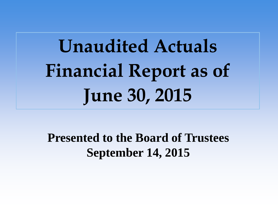# **Unaudited Actuals Financial Report as of June 30, 2015**

**Presented to the Board of Trustees September 14, 2015**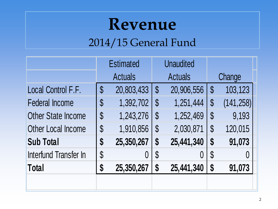### **Revenue**

#### 2014/15 General Fund

|                           | <b>Estimated</b>           |            | <b>Unaudited</b>           |            |                            |            |
|---------------------------|----------------------------|------------|----------------------------|------------|----------------------------|------------|
|                           | <b>Actuals</b>             |            | <b>Actuals</b>             |            | Change                     |            |
| Local Control F.F.        | \$                         | 20,803,433 | $\boldsymbol{\mathsf{S}}$  | 20,906,556 | $\boldsymbol{\mathsf{S}}$  | 103,123    |
| <b>Federal Income</b>     | \$                         | 1,392,702  | $\boldsymbol{\mathsf{\$}}$ | 1,251,444  | $\boldsymbol{\mathsf{\$}}$ | (141, 258) |
| <b>Other State Income</b> | $\boldsymbol{\mathsf{\$}}$ | 1,243,276  | $\boldsymbol{\mathsf{\$}}$ | 1,252,469  | $\boldsymbol{\mathsf{\$}}$ | 9,193      |
| <b>Other Local Income</b> | \$                         | 1,910,856  | $\boldsymbol{\mathsf{S}}$  | 2,030,871  | $\mathbb{S}$               | 120,015    |
| <b>Sub Total</b>          | \$                         | 25,350,267 | $\boldsymbol{\$}$          | 25,441,340 | $\boldsymbol{\mathsf{S}}$  | 91,073     |
| Interfund Transfer In     | $\boldsymbol{\mathsf{\$}}$ |            | $\boldsymbol{\mathsf{\$}}$ |            | $\boldsymbol{\mathsf{\$}}$ |            |
| <b>Total</b>              | \$                         | 25,350,267 | \$                         | 25,441,340 | \$                         | 91,073     |
|                           |                            |            |                            |            |                            |            |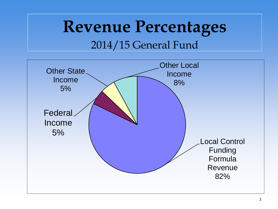#### **Revenue Percentages** 2014/15 General Fund

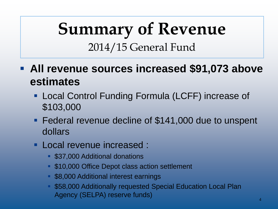### **Summary of Revenue** 2014/15 General Fund

- **All revenue sources increased \$91,073 above estimates** 
	- Local Control Funding Formula (LCFF) increase of \$103,000
	- Federal revenue decline of \$141,000 due to unspent dollars
	- **Local revenue increased :** 
		- **537,000 Additional donations**
		- **S10,000 Office Depot class action settlement**
		- **58,000 Additional interest earnings**
		- \$58,000 Additionally requested Special Education Local Plan Agency (SELPA) reserve funds)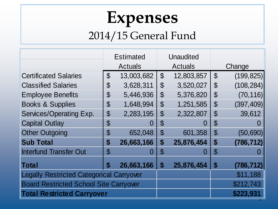#### **Expenses** 2014/15 General Fund

|                                                 | <b>Estimated</b>               |            |                            | Unaudited  |                            |            |
|-------------------------------------------------|--------------------------------|------------|----------------------------|------------|----------------------------|------------|
|                                                 | <b>Actuals</b>                 |            | <b>Actuals</b>             |            | Change                     |            |
| <b>Certificated Salaries</b>                    | $\boldsymbol{\mathcal{S}}$     | 13,003,682 | $\boldsymbol{\mathcal{S}}$ | 12,803,857 | $\boldsymbol{\mathcal{S}}$ | (199, 825) |
| <b>Classified Salaries</b>                      | \$                             | 3,628,311  | $\mathfrak{F}$             | 3,520,027  | $\mathcal{S}$              | (108, 284) |
| <b>Employee Benefits</b>                        | \$                             | 5,446,936  | $\boldsymbol{\mathcal{S}}$ | 5,376,820  | $\boldsymbol{\mathcal{S}}$ | (70, 116)  |
| <b>Books &amp; Supplies</b>                     | $\boldsymbol{\mathsf{S}}$      | 1,648,994  | $\boldsymbol{\mathsf{\$}}$ | 1,251,585  | $\boldsymbol{\mathsf{S}}$  | (397, 409) |
| Services/Operating Exp.                         | \$                             | 2,283,195  | $\boldsymbol{\mathsf{S}}$  | 2,322,807  | $\boldsymbol{\mathcal{S}}$ | 39,612     |
| <b>Capital Outlay</b>                           | $\textcircled{\scriptsize{s}}$ | O          | $\mathbb S$                | $\cup$     | $\mathcal{C}$              |            |
| <b>Other Outgoing</b>                           | \$                             | 652,048    | $\mathfrak{S}$             | 601,358    | $\mathfrak{S}$             | (50, 690)  |
| <b>Sub Total</b>                                | \$                             | 26,663,166 | \$                         | 25,876,454 | $\boldsymbol{\$}$          | (786, 712) |
| <b>Interfund Transfer Out</b>                   | $\mathbb S$                    | U          | ${\mathbb S}$              | O          | ${\mathfrak{F}}$           |            |
| Total                                           | S                              | 26,663,166 | \$                         | 25,876,454 | $\boldsymbol{\$}$          | (786, 712) |
| <b>Legally Restricted Categorical Carryover</b> |                                |            |                            | \$11,188   |                            |            |
| <b>Board Restricted School Site Carryover</b>   |                                |            |                            | \$212,743  |                            |            |
| <b>Total Restricted Carryover</b>               |                                |            |                            | \$223,931  |                            |            |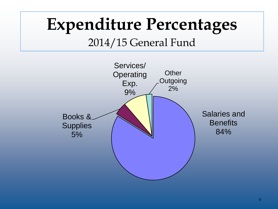#### **Expenditure Percentages** 2014/15 General Fund

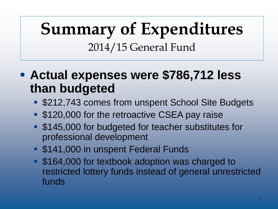### **Summary of Expenditures** 2014/15 General Fund

#### **Actual expenses were \$786,712 less than budgeted**

- \$212,743 comes from unspent School Site Budgets
- **S120,000 for the retroactive CSEA pay raise**
- **\$145,000 for budgeted for teacher substitutes for** professional development
- **S141,000 in unspent Federal Funds**
- **\$164,000 for textbook adoption was charged to** restricted lottery funds instead of general unrestricted funds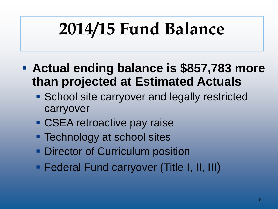## **2014/15 Fund Balance**

- **Actual ending balance is \$857,783 more than projected at Estimated Actuals**
	- **School site carryover and legally restricted** carryover
	- **CSEA retroactive pay raise**
	- **Technology at school sites**
	- **Director of Curriculum position**
	- **Federal Fund carryover (Title I, II, III)**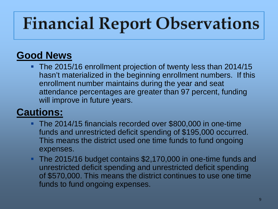## **Financial Report Observations**

#### **Good News**

The 2015/16 enrollment projection of twenty less than 2014/15 hasn't materialized in the beginning enrollment numbers. If this enrollment number maintains during the year and seat attendance percentages are greater than 97 percent, funding will improve in future years.

#### **Cautions:**

- The 2014/15 financials recorded over \$800,000 in one-time funds and unrestricted deficit spending of \$195,000 occurred. This means the district used one time funds to fund ongoing expenses.
- The 2015/16 budget contains \$2,170,000 in one-time funds and unrestricted deficit spending and unrestricted deficit spending of \$570,000. This means the district continues to use one time funds to fund ongoing expenses.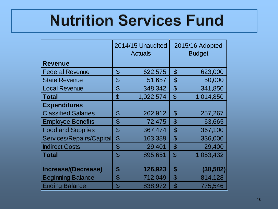### **Nutrition Services Fund**

|                            | 2014/15 Unaudited<br><b>Actuals</b> |           |                            | 2015/16 Adopted<br><b>Budget</b> |  |  |
|----------------------------|-------------------------------------|-----------|----------------------------|----------------------------------|--|--|
| <b>Revenue</b>             |                                     |           |                            |                                  |  |  |
| <b>Federal Revenue</b>     | $\mathfrak{P}$                      | 622,575   | $\mathfrak{P}$             | 623,000                          |  |  |
| <b>State Revenue</b>       | $\boldsymbol{\mathcal{S}}$          | 51,657    | $\boldsymbol{\mathcal{S}}$ | 50,000                           |  |  |
| <b>Local Revenue</b>       | $\boldsymbol{\mathcal{S}}$          | 348,342   | $\boldsymbol{\theta}$      | 341,850                          |  |  |
| <b>Total</b>               | $\mathfrak{P}$                      | 1,022,574 | $\mathfrak{S}$             | 1,014,850                        |  |  |
| <b>Expenditures</b>        |                                     |           |                            |                                  |  |  |
| <b>Classified Salaries</b> | $\mathfrak{F}$                      | 262,912   | $\boldsymbol{\mathsf{S}}$  | 257,267                          |  |  |
| <b>Employee Benefits</b>   | \$                                  | 72,475    | \$                         | 63,665                           |  |  |
| <b>Food and Supplies</b>   | $\mathfrak{P}$                      | 367,474   | \$                         | 367,100                          |  |  |
| Services/Repairs/Capital   | $\boldsymbol{\mathsf{\$}}$          | 163,389   | \$                         | 336,000                          |  |  |
| <b>Indirect Costs</b>      | $\boldsymbol{\mathsf{S}}$           | 29,401    | \$                         | 29,400                           |  |  |
| <b>Total</b>               | $\mathfrak{F}$                      | 895,651   | $\mathfrak{F}$             | 1,053,432                        |  |  |
|                            |                                     |           |                            |                                  |  |  |
| Increase/(Decrease)        | \$                                  | 126,923   | \$                         | (38,582)                         |  |  |
| <b>Beginning Balance</b>   | ${\cal S}$                          | 712,049   | \$                         | 814,128                          |  |  |
| <b>Ending Balance</b>      | ${\mathfrak{F}}$                    | 838,972   | \$                         | 775,546                          |  |  |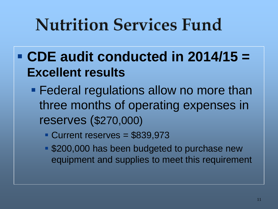## **Nutrition Services Fund**

- **CDE audit conducted in 2014/15 = Excellent results**
	- **Federal regulations allow no more than** three months of operating expenses in reserves (\$270,000)
		- Current reserves = \$839,973
		- **S200,000 has been budgeted to purchase new** equipment and supplies to meet this requirement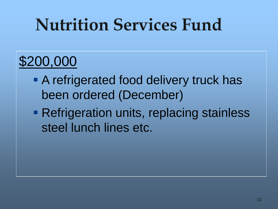## **Nutrition Services Fund**

#### \$200,000

- **A refrigerated food delivery truck has** been ordered (December)
- **Refrigeration units, replacing stainless** steel lunch lines etc.